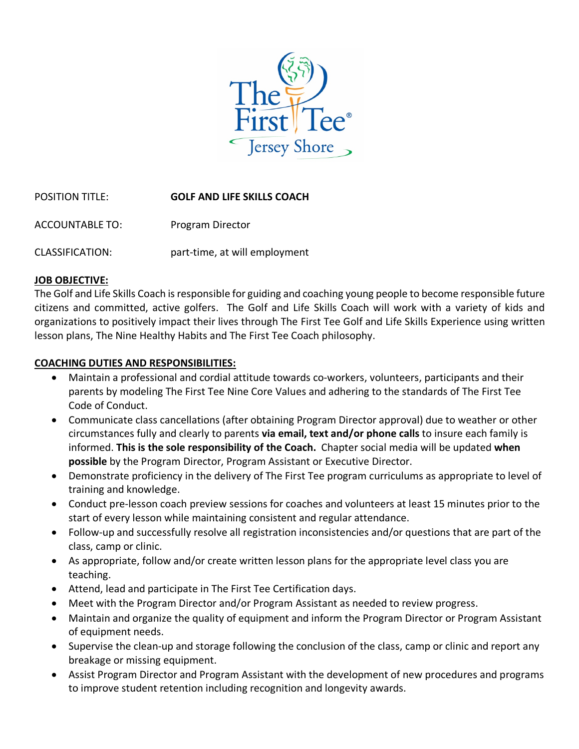

POSITION TITLE: **GOLF AND LIFE SKILLS COACH** ACCOUNTABLE TO: Program Director CLASSIFICATION: part-time, at will employment

## **JOB OBJECTIVE:**

The Golf and Life Skills Coach is responsible for guiding and coaching young people to become responsible future citizens and committed, active golfers. The Golf and Life Skills Coach will work with a variety of kids and organizations to positively impact their lives through The First Tee Golf and Life Skills Experience using written lesson plans, The Nine Healthy Habits and The First Tee Coach philosophy.

## **COACHING DUTIES AND RESPONSIBILITIES:**

- Maintain a professional and cordial attitude towards co-workers, volunteers, participants and their parents by modeling The First Tee Nine Core Values and adhering to the standards of The First Tee Code of Conduct.
- Communicate class cancellations (after obtaining Program Director approval) due to weather or other circumstances fully and clearly to parents **via email, text and/or phone calls** to insure each family is informed. **This is the sole responsibility of the Coach.** Chapter social media will be updated **when possible** by the Program Director, Program Assistant or Executive Director.
- Demonstrate proficiency in the delivery of The First Tee program curriculums as appropriate to level of training and knowledge.
- Conduct pre-lesson coach preview sessions for coaches and volunteers at least 15 minutes prior to the start of every lesson while maintaining consistent and regular attendance.
- Follow-up and successfully resolve all registration inconsistencies and/or questions that are part of the class, camp or clinic.
- As appropriate, follow and/or create written lesson plans for the appropriate level class you are teaching.
- Attend, lead and participate in The First Tee Certification days.
- Meet with the Program Director and/or Program Assistant as needed to review progress.
- Maintain and organize the quality of equipment and inform the Program Director or Program Assistant of equipment needs.
- Supervise the clean-up and storage following the conclusion of the class, camp or clinic and report any breakage or missing equipment.
- Assist Program Director and Program Assistant with the development of new procedures and programs to improve student retention including recognition and longevity awards.